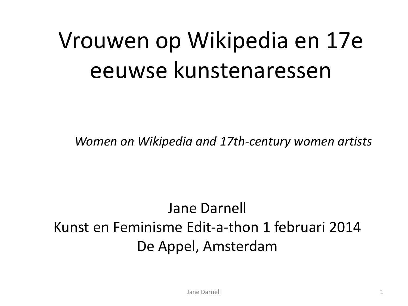# Vrouwen op Wikipedia en 17e eeuwse kunstenaressen

*Women on Wikipedia and 17th-century women artists*

#### Jane Darnell Kunst en Feminisme Edit-a-thon 1 februari 2014 De Appel, Amsterdam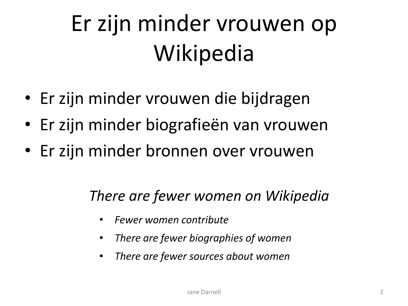# Er zijn minder vrouwen op Wikipedia

- Er zijn minder vrouwen die bijdragen
- Er zijn minder biografieën van vrouwen
- Er zijn minder bronnen over vrouwen

#### *There are fewer women on Wikipedia*

- *Fewer women contribute*
- *There are fewer biographies of women*
- *There are fewer sources about women*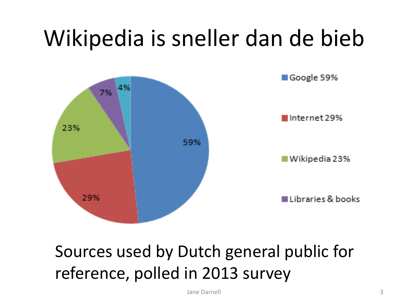# Wikipedia is sneller dan de bieb



### Sources used by Dutch general public for reference, polled in 2013 survey

Jane Darnell 3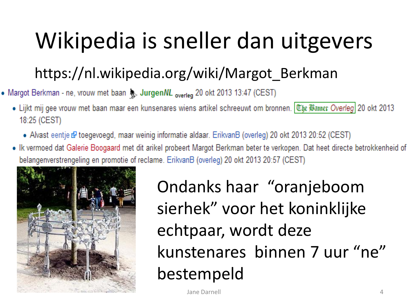# Wikipedia is sneller dan uitgevers

### https://nl.wikipedia.org/wiki/Margot\_Berkman

- Margot Berkman ne, vrouw met baan & Jurgen/VL overleg 20 okt 2013 13:47 (CEST)
	- Lijkt mij gee vrouw met baan maar een kunsenares wiens artikel schreeuwt om bronnen. Uhe Banner Overleg 20 okt 2013 18:25 (CEST)
		- Alvast eentje & toegevoegd, maar weinig informatie aldaar. ErikvanB (overleg) 20 okt 2013 20:52 (CEST)
	- Ik vermoed dat Galerie Boogaard met dit arikel probeert Margot Berkman beter te verkopen. Dat heet directe betrokkenheid of belangenverstrengeling en promotie of reclame. ErikvanB (overleg) 20 okt 2013 20:57 (CEST)



Ondanks haar "oranjeboom sierhek" voor het koninklijke echtpaar, wordt deze kunstenares binnen 7 uur "ne" bestempeld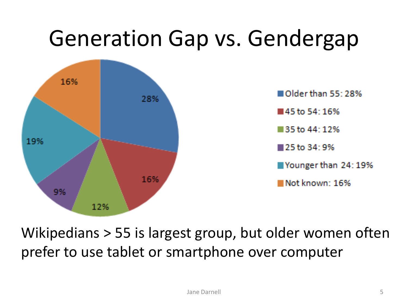### Generation Gap vs. Gendergap



Wikipedians > 55 is largest group, but older women often prefer to use tablet or smartphone over computer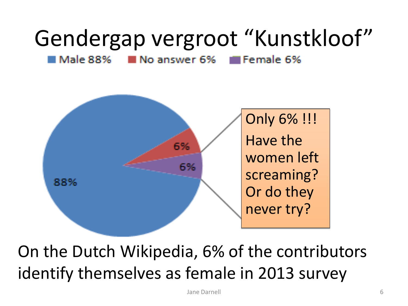# Gendergap vergroot "Kunstkloof"

Male 88% **EFFE** Female 6% No answer 6%



On the Dutch Wikipedia, 6% of the contributors identify themselves as female in 2013 survey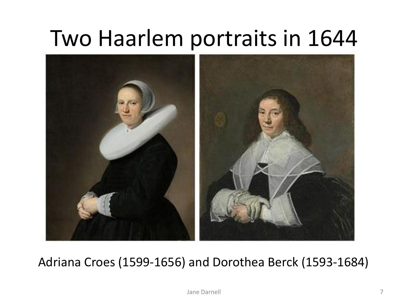### Two Haarlem portraits in 1644



#### Adriana Croes (1599-1656) and Dorothea Berck (1593-1684)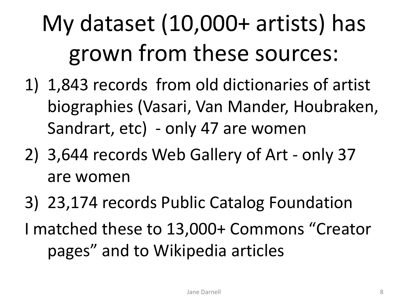# My dataset (10,000+ artists) has grown from these sources:

- 1) 1,843 records from old dictionaries of artist biographies (Vasari, Van Mander, Houbraken, Sandrart, etc) - only 47 are women
- 2) 3,644 records Web Gallery of Art only 37 are women
- 3) 23,174 records Public Catalog Foundation I matched these to 13,000+ Commons "Creator pages" and to Wikipedia articles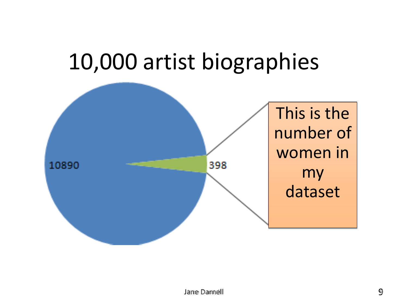### 10,000 artist biographies

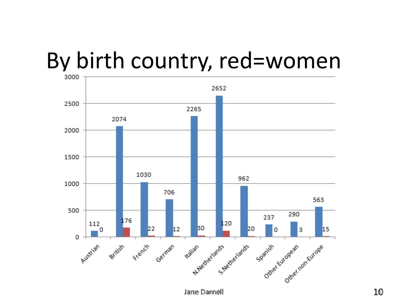# By birth country, red=women

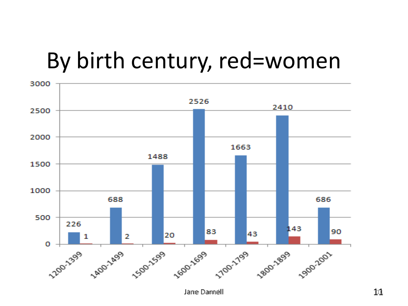### By birth century, red=women

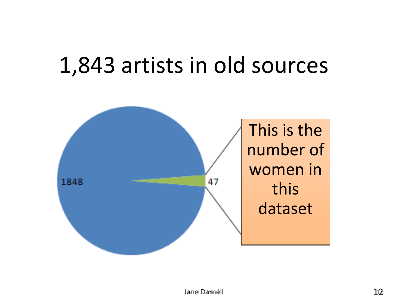### 1,843 artists in old sources

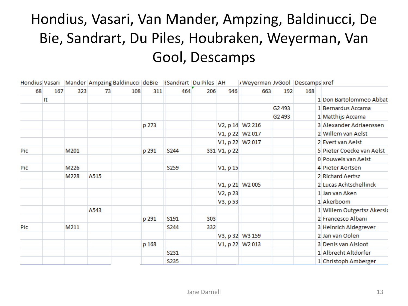#### Hondius, Vasari, Van Mander, Ampzing, Baldinucci, De Bie, Sandrart, Du Piles, Houbraken, Weyerman, Van Gool, Descamps

|            |    |            |      | Hondius Vasari   Mander   Ampzing Baldinucci   deBie   [Sandrart   Du Piles   AH |       |             |     |              | /Weyerman JvGool Descamps xref |                    |     |                           |
|------------|----|------------|------|----------------------------------------------------------------------------------|-------|-------------|-----|--------------|--------------------------------|--------------------|-----|---------------------------|
| 68         |    | 323<br>167 | 73   | 108                                                                              | 311   | 464         | 206 | 946          | 663                            | 192                | 168 |                           |
|            | It |            |      |                                                                                  |       |             |     |              |                                |                    |     | 1 Don Bartolommeo Abbat   |
|            |    |            |      |                                                                                  |       |             |     |              |                                | G <sub>2</sub> 493 |     | 1 Bernardus Accama        |
|            |    |            |      |                                                                                  |       |             |     |              |                                | G2493              |     | 1 Matthijs Accama         |
|            |    |            |      |                                                                                  | p 273 |             |     |              | V2, p 14 W2 216                |                    |     | 3 Alexander Adriaenssen   |
|            |    |            |      |                                                                                  |       |             |     |              | V1, p 22 W2 017                |                    |     | 2 Willem van Aelst        |
|            |    |            |      |                                                                                  |       |             |     |              | V1, p 22 W2 017                |                    |     | 2 Evert van Aelst         |
| Pic        |    | M201       |      |                                                                                  | p 291 | S244        |     | 331 V1, p 22 |                                |                    |     | 5 Pieter Coecke van Aelst |
|            |    |            |      |                                                                                  |       |             |     |              |                                |                    |     | 0 Pouwels van Aelst       |
| <b>Pic</b> |    | M226       |      |                                                                                  |       | <b>S259</b> |     | V1, p 15     |                                |                    |     | 4 Pieter Aertsen          |
|            |    | M228       | A515 |                                                                                  |       |             |     |              |                                |                    |     | 2 Richard Aertsz          |
|            |    |            |      |                                                                                  |       |             |     |              | V1, p 21 W2 005                |                    |     | 2 Lucas Achtschellinck    |
|            |    |            |      |                                                                                  |       |             |     | V2, p 23     |                                |                    |     | 1 Jan van Aken            |
|            |    |            |      |                                                                                  |       |             |     | V3, p 53     |                                |                    |     | 1 Akerboom                |
|            |    |            | A543 |                                                                                  |       |             |     |              |                                |                    |     | 1 Willem Outgertsz Akersk |
|            |    |            |      |                                                                                  | p 291 | S191        | 303 |              |                                |                    |     | 2 Francesco Albani        |
| Pic        |    | M211       |      |                                                                                  |       | S244        | 332 |              |                                |                    |     | 3 Heinrich Aldegrever     |
|            |    |            |      |                                                                                  |       |             |     |              | V3, p 32 W3 159                |                    |     | 2 Jan van Oolen           |
|            |    |            |      |                                                                                  | p 168 |             |     |              | V1, p 22 W2 013                |                    |     | 3 Denis van Alsloot       |
|            |    |            |      |                                                                                  |       | S231        |     |              |                                |                    |     | 1 Albrecht Altdorfer      |
|            |    |            |      |                                                                                  |       | <b>S235</b> |     |              |                                |                    |     | 1 Christoph Amberger      |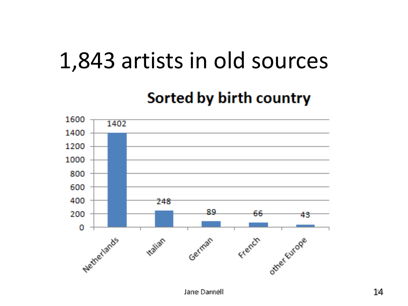### 1,843 artists in old sources

#### Sorted by birth country

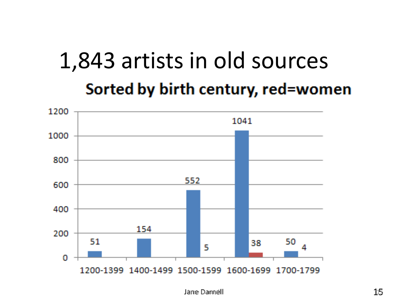### 1,843 artists in old sources Sorted by birth century, red=women

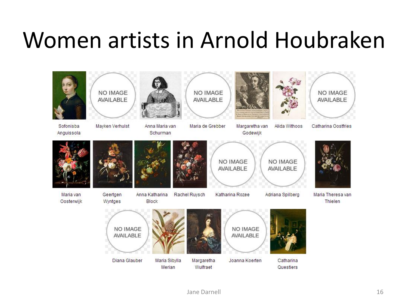### Women artists in Arnold Houbraken

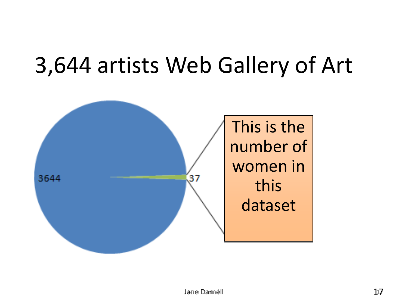### 3,644 artists Web Gallery of Art

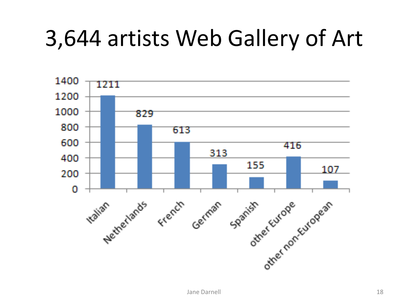## 3,644 artists Web Gallery of Art

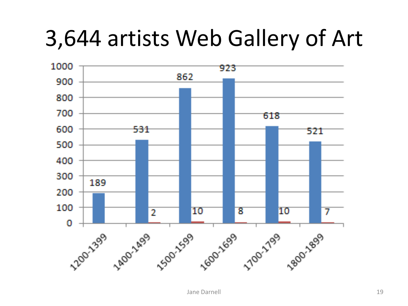### 3,644 artists Web Gallery of Art

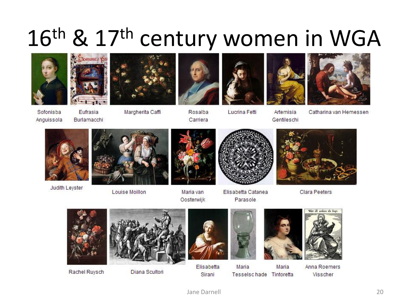# 16<sup>th</sup> & 17<sup>th</sup> century women in WGA











Artemisia

Gentileschi



Sofonisba Anguissola

Eufrasia Burlamacchi

Margherita Caffi

Rosalba Carriera

**Lucrina Fetti** 

Catharina van Hemessen



**Judith Leyster** 



**Louise Moillon** 



Maria van Oosterwijk



Elisabetta Catanea Parasole



Clara Peeters



Rachel Ruysch



Diana Scultori



Elisabetta Sirani



Maria Maria Tesselschade Tintoretta



Anna Roemers Visscher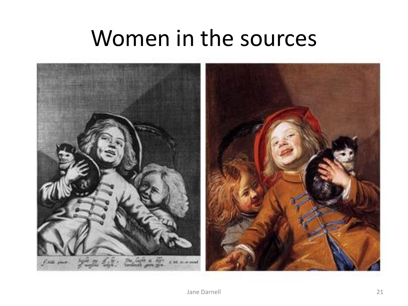### Women in the sources

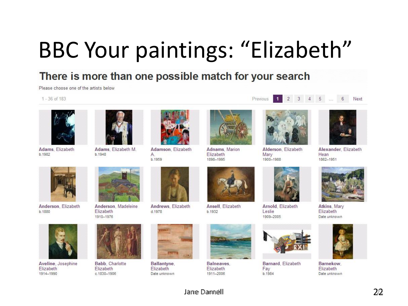# BBC Your paintings: "Elizabeth"

#### There is more than one possible match for your search

Please choose one of the artists below

#### 1 - 36 of 183



Adams, Elizabeth b.1982



Adams, Elizabeth M. b.1948



Adamson, Elizabeth A. b.1959



Adnams, Marion Elizabeth 1898-1995



 $1<sup>1</sup>$ 

Previous

Alderson, Elizabeth Mary 1900-1988



2 3 4 5 ... 6 Next

1862-1951



Anderson, Elizabeth b.1880



Anderson, Madeleine Elizabeth 1910-1976



Andrews, Elizabeth

d.1978



b.1932



Balneaves. Elizabeth 1911-2006





Arnold, Elizabeth Leslie 1909-2005



Barnard, Elizabeth Fav b 1984



Atkins, Mary Elizabeth Date unknown



Barnekow **Elizabeth** Date unknown





Aveline, Josephine Elizabeth 1914-1990



Babb, Charlotte **Elizabeth** c 1830-1906



Ballantyne, Elizabeth Date unknown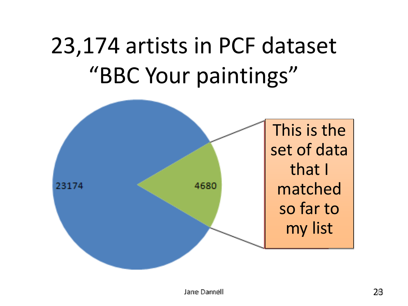# 23,174 artists in PCF dataset "BBC Your paintings"

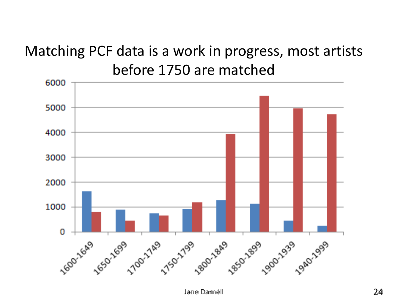#### Matching PCF data is a work in progress, most artists before 1750 are matched

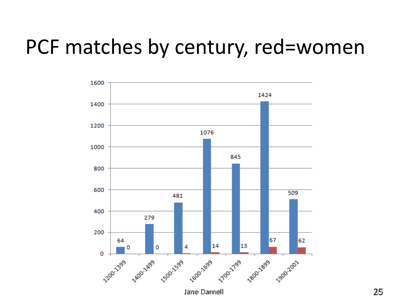### PCF matches by century, red=women

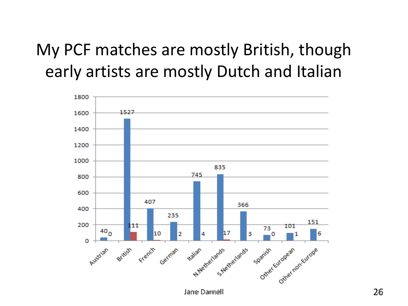### My PCF matches are mostly British, though early artists are mostly Dutch and Italian